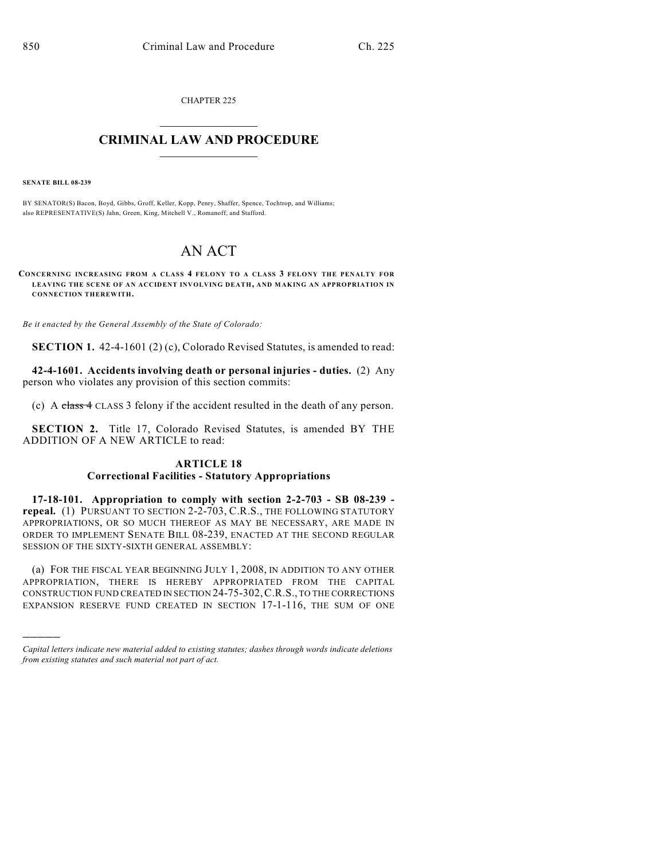CHAPTER 225

## $\overline{\phantom{a}}$  . The set of the set of the set of the set of the set of the set of the set of the set of the set of the set of the set of the set of the set of the set of the set of the set of the set of the set of the set o **CRIMINAL LAW AND PROCEDURE**  $\frac{1}{2}$  ,  $\frac{1}{2}$  ,  $\frac{1}{2}$  ,  $\frac{1}{2}$  ,  $\frac{1}{2}$  ,  $\frac{1}{2}$  ,  $\frac{1}{2}$

**SENATE BILL 08-239**

)))))

BY SENATOR(S) Bacon, Boyd, Gibbs, Groff, Keller, Kopp, Penry, Shaffer, Spence, Tochtrop, and Williams; also REPRESENTATIVE(S) Jahn, Green, King, Mitchell V., Romanoff, and Stafford.

## AN ACT

**CONCERNING INCREASING FROM A CLASS 4 FELONY TO A CLASS 3 FELONY THE PENALTY FOR LEAVING THE SCENE OF AN ACCIDENT INVOLVING DEATH, AND MAKING AN APPROPRIATION IN CONNECTION THEREWITH.**

*Be it enacted by the General Assembly of the State of Colorado:*

**SECTION 1.** 42-4-1601 (2) (c), Colorado Revised Statutes, is amended to read:

**42-4-1601. Accidents involving death or personal injuries - duties.** (2) Any person who violates any provision of this section commits:

(c) A class 4 CLASS 3 felony if the accident resulted in the death of any person.

**SECTION 2.** Title 17, Colorado Revised Statutes, is amended BY THE ADDITION OF A NEW ARTICLE to read:

## **ARTICLE 18 Correctional Facilities - Statutory Appropriations**

**17-18-101. Appropriation to comply with section 2-2-703 - SB 08-239 repeal.** (1) PURSUANT TO SECTION 2-2-703, C.R.S., THE FOLLOWING STATUTORY APPROPRIATIONS, OR SO MUCH THEREOF AS MAY BE NECESSARY, ARE MADE IN ORDER TO IMPLEMENT SENATE BILL 08-239, ENACTED AT THE SECOND REGULAR SESSION OF THE SIXTY-SIXTH GENERAL ASSEMBLY:

(a) FOR THE FISCAL YEAR BEGINNING JULY 1, 2008, IN ADDITION TO ANY OTHER APPROPRIATION, THERE IS HEREBY APPROPRIATED FROM THE CAPITAL CONSTRUCTION FUND CREATED IN SECTION 24-75-302,C.R.S., TO THE CORRECTIONS EXPANSION RESERVE FUND CREATED IN SECTION 17-1-116, THE SUM OF ONE

*Capital letters indicate new material added to existing statutes; dashes through words indicate deletions from existing statutes and such material not part of act.*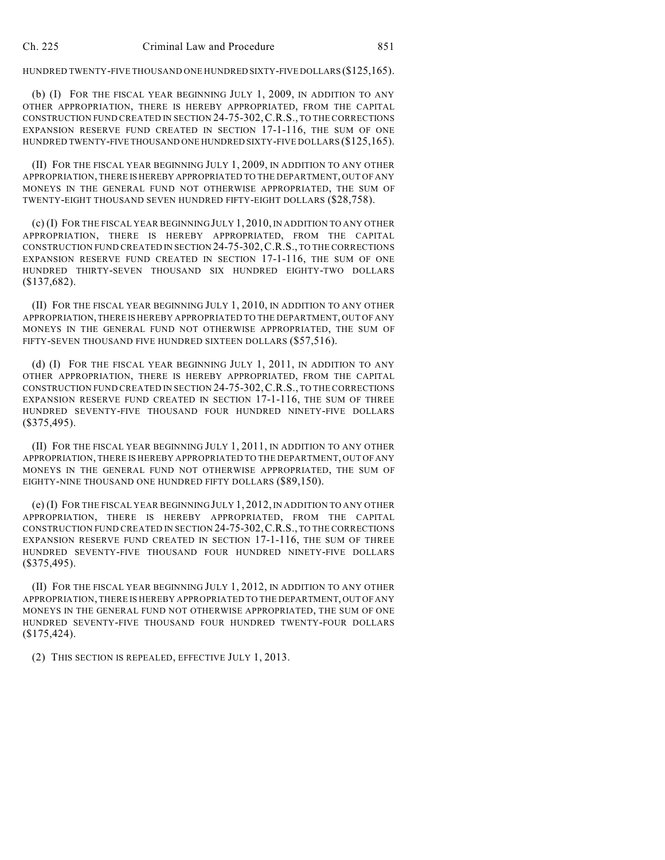HUNDRED TWENTY-FIVE THOUSAND ONE HUNDRED SIXTY-FIVE DOLLARS (\$125,165).

(b) (I) FOR THE FISCAL YEAR BEGINNING JULY 1, 2009, IN ADDITION TO ANY OTHER APPROPRIATION, THERE IS HEREBY APPROPRIATED, FROM THE CAPITAL CONSTRUCTION FUND CREATED IN SECTION 24-75-302,C.R.S., TO THE CORRECTIONS EXPANSION RESERVE FUND CREATED IN SECTION 17-1-116, THE SUM OF ONE HUNDRED TWENTY-FIVE THOUSAND ONE HUNDRED SIXTY-FIVE DOLLARS (\$125,165).

(II) FOR THE FISCAL YEAR BEGINNING JULY 1, 2009, IN ADDITION TO ANY OTHER APPROPRIATION, THERE IS HEREBY APPROPRIATED TO THE DEPARTMENT, OUT OF ANY MONEYS IN THE GENERAL FUND NOT OTHERWISE APPROPRIATED, THE SUM OF TWENTY-EIGHT THOUSAND SEVEN HUNDRED FIFTY-EIGHT DOLLARS (\$28,758).

(c) (I) FOR THE FISCAL YEAR BEGINNING JULY 1, 2010, IN ADDITION TO ANY OTHER APPROPRIATION, THERE IS HEREBY APPROPRIATED, FROM THE CAPITAL CONSTRUCTION FUND CREATED IN SECTION 24-75-302,C.R.S., TO THE CORRECTIONS EXPANSION RESERVE FUND CREATED IN SECTION 17-1-116, THE SUM OF ONE HUNDRED THIRTY-SEVEN THOUSAND SIX HUNDRED EIGHTY-TWO DOLLARS (\$137,682).

(II) FOR THE FISCAL YEAR BEGINNING JULY 1, 2010, IN ADDITION TO ANY OTHER APPROPRIATION, THERE IS HEREBY APPROPRIATED TO THE DEPARTMENT, OUT OF ANY MONEYS IN THE GENERAL FUND NOT OTHERWISE APPROPRIATED, THE SUM OF FIFTY-SEVEN THOUSAND FIVE HUNDRED SIXTEEN DOLLARS (\$57,516).

(d) (I) FOR THE FISCAL YEAR BEGINNING JULY 1, 2011, IN ADDITION TO ANY OTHER APPROPRIATION, THERE IS HEREBY APPROPRIATED, FROM THE CAPITAL CONSTRUCTION FUND CREATED IN SECTION 24-75-302,C.R.S., TO THE CORRECTIONS EXPANSION RESERVE FUND CREATED IN SECTION 17-1-116, THE SUM OF THREE HUNDRED SEVENTY-FIVE THOUSAND FOUR HUNDRED NINETY-FIVE DOLLARS (\$375,495).

(II) FOR THE FISCAL YEAR BEGINNING JULY 1, 2011, IN ADDITION TO ANY OTHER APPROPRIATION, THERE IS HEREBY APPROPRIATED TO THE DEPARTMENT, OUT OF ANY MONEYS IN THE GENERAL FUND NOT OTHERWISE APPROPRIATED, THE SUM OF EIGHTY-NINE THOUSAND ONE HUNDRED FIFTY DOLLARS (\$89,150).

(e) (I) FOR THE FISCAL YEAR BEGINNING JULY 1, 2012, IN ADDITION TO ANY OTHER APPROPRIATION, THERE IS HEREBY APPROPRIATED, FROM THE CAPITAL CONSTRUCTION FUND CREATED IN SECTION 24-75-302,C.R.S., TO THE CORRECTIONS EXPANSION RESERVE FUND CREATED IN SECTION 17-1-116, THE SUM OF THREE HUNDRED SEVENTY-FIVE THOUSAND FOUR HUNDRED NINETY-FIVE DOLLARS (\$375,495).

(II) FOR THE FISCAL YEAR BEGINNING JULY 1, 2012, IN ADDITION TO ANY OTHER APPROPRIATION, THERE IS HEREBY APPROPRIATED TO THE DEPARTMENT, OUT OF ANY MONEYS IN THE GENERAL FUND NOT OTHERWISE APPROPRIATED, THE SUM OF ONE HUNDRED SEVENTY-FIVE THOUSAND FOUR HUNDRED TWENTY-FOUR DOLLARS (\$175,424).

(2) THIS SECTION IS REPEALED, EFFECTIVE JULY 1, 2013.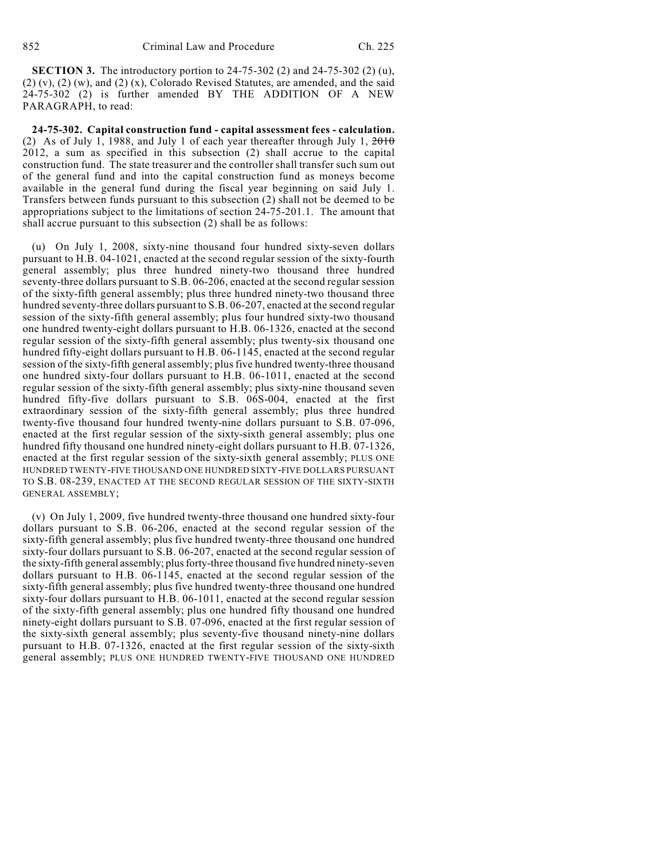**SECTION 3.** The introductory portion to 24-75-302 (2) and 24-75-302 (2) (u),  $(2)$  (v),  $(2)$  (w), and  $(2)$  (x), Colorado Revised Statutes, are amended, and the said 24-75-302 (2) is further amended BY THE ADDITION OF A NEW PARAGRAPH, to read:

**24-75-302. Capital construction fund - capital assessment fees - calculation.** (2) As of July 1, 1988, and July 1 of each year thereafter through July 1,  $2010$ 2012, a sum as specified in this subsection (2) shall accrue to the capital construction fund. The state treasurer and the controller shall transfer such sum out of the general fund and into the capital construction fund as moneys become available in the general fund during the fiscal year beginning on said July 1. Transfers between funds pursuant to this subsection (2) shall not be deemed to be appropriations subject to the limitations of section 24-75-201.1. The amount that shall accrue pursuant to this subsection (2) shall be as follows:

(u) On July 1, 2008, sixty-nine thousand four hundred sixty-seven dollars pursuant to H.B. 04-1021, enacted at the second regular session of the sixty-fourth general assembly; plus three hundred ninety-two thousand three hundred seventy-three dollars pursuant to S.B. 06-206, enacted at the second regular session of the sixty-fifth general assembly; plus three hundred ninety-two thousand three hundred seventy-three dollars pursuant to S.B. 06-207, enacted at the second regular session of the sixty-fifth general assembly; plus four hundred sixty-two thousand one hundred twenty-eight dollars pursuant to H.B. 06-1326, enacted at the second regular session of the sixty-fifth general assembly; plus twenty-six thousand one hundred fifty-eight dollars pursuant to H.B. 06-1145, enacted at the second regular session of the sixty-fifth general assembly; plus five hundred twenty-three thousand one hundred sixty-four dollars pursuant to H.B. 06-1011, enacted at the second regular session of the sixty-fifth general assembly; plus sixty-nine thousand seven hundred fifty-five dollars pursuant to S.B. 06S-004, enacted at the first extraordinary session of the sixty-fifth general assembly; plus three hundred twenty-five thousand four hundred twenty-nine dollars pursuant to S.B. 07-096, enacted at the first regular session of the sixty-sixth general assembly; plus one hundred fifty thousand one hundred ninety-eight dollars pursuant to H.B. 07-1326, enacted at the first regular session of the sixty-sixth general assembly; PLUS ONE HUNDRED TWENTY-FIVE THOUSAND ONE HUNDRED SIXTY-FIVE DOLLARS PURSUANT TO S.B. 08-239, ENACTED AT THE SECOND REGULAR SESSION OF THE SIXTY-SIXTH GENERAL ASSEMBLY;

(v) On July 1, 2009, five hundred twenty-three thousand one hundred sixty-four dollars pursuant to S.B. 06-206, enacted at the second regular session of the sixty-fifth general assembly; plus five hundred twenty-three thousand one hundred sixty-four dollars pursuant to S.B. 06-207, enacted at the second regular session of the sixty-fifth general assembly; plus forty-three thousand five hundred ninety-seven dollars pursuant to H.B. 06-1145, enacted at the second regular session of the sixty-fifth general assembly; plus five hundred twenty-three thousand one hundred sixty-four dollars pursuant to H.B. 06-1011, enacted at the second regular session of the sixty-fifth general assembly; plus one hundred fifty thousand one hundred ninety-eight dollars pursuant to S.B. 07-096, enacted at the first regular session of the sixty-sixth general assembly; plus seventy-five thousand ninety-nine dollars pursuant to H.B. 07-1326, enacted at the first regular session of the sixty-sixth general assembly; PLUS ONE HUNDRED TWENTY-FIVE THOUSAND ONE HUNDRED